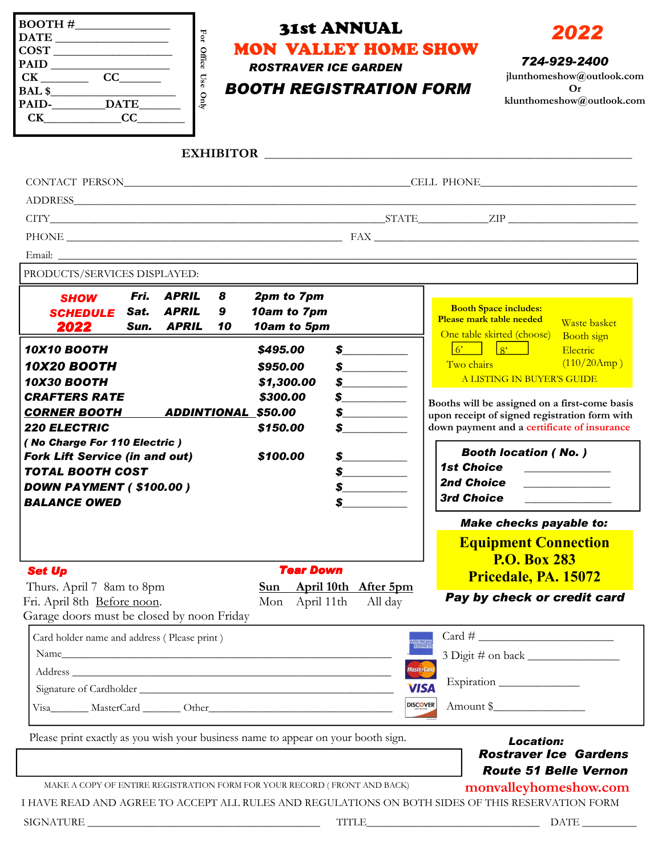| $\begin{tabular}{c} DATE \hspace{0.09cm} \textbf{)} \\ \end{tabular}$<br>$\overline{\text{COST}}$<br>$\begin{array}{c}\n\text{PAID} \\ \hline\n\text{CK} \underline{\hspace{1cm}}\text{CC} \underline{\hspace{1cm}}\n\end{array}$<br>$CK$ $CC$ $CC$                                                               |                                                                      | For Office Use Only | <b>MON VALLEY HOME SHOW</b><br><b>ROSTRAVER ICE GARDEN</b><br><b>BOOTH REGISTRATION FORM</b> | <b>31st ANNUAL</b>                                                                                                                                                                                                                                                                                                                                                      |                                                                                                                                                   | 2022<br>724-929-2400<br>jlunthomeshow@outlook.com<br>Or<br>klunthomeshow@outlook.com                                                                                                                                                                                               |
|-------------------------------------------------------------------------------------------------------------------------------------------------------------------------------------------------------------------------------------------------------------------------------------------------------------------|----------------------------------------------------------------------|---------------------|----------------------------------------------------------------------------------------------|-------------------------------------------------------------------------------------------------------------------------------------------------------------------------------------------------------------------------------------------------------------------------------------------------------------------------------------------------------------------------|---------------------------------------------------------------------------------------------------------------------------------------------------|------------------------------------------------------------------------------------------------------------------------------------------------------------------------------------------------------------------------------------------------------------------------------------|
|                                                                                                                                                                                                                                                                                                                   |                                                                      |                     |                                                                                              |                                                                                                                                                                                                                                                                                                                                                                         |                                                                                                                                                   |                                                                                                                                                                                                                                                                                    |
|                                                                                                                                                                                                                                                                                                                   |                                                                      |                     |                                                                                              |                                                                                                                                                                                                                                                                                                                                                                         |                                                                                                                                                   | CONTACT PERSON CONTACT PERSON<br>$\text{CTTY}\_\_\_\_\_\_ \text{CITY}\_\_\_\_\_\_ \text{CITY}\_\_\_\_\_\_ \text{CITY}\_\_\_\_\_\_ \text{CITY}\_\_\_\_\_\_ \text{CITY}\_\_\_\_\_\_ \text{CITY}\_\_\_\_\_\_ \text{CITY}\_\_\_\_\_\_ \text{CITY}\_\_\_\_\_\_ \text{CITY}\_\_\_\_\_\_$ |
| PRODUCTS/SERVICES DISPLAYED:<br><b>SHOW</b><br><b>SCHEDULE</b><br>2022                                                                                                                                                                                                                                            | Fri.<br><b>APRIL</b><br><b>APRIL</b><br>Sat.<br><b>APRIL</b><br>Sun. | 8<br>9<br>10        | 2pm to 7pm<br>10am to 7pm<br>10am to 5pm                                                     |                                                                                                                                                                                                                                                                                                                                                                         | Please mark table needed                                                                                                                          | <b>Booth Space includes:</b><br><b>Waste basket</b><br>One table skirted (choose)<br><b>Booth</b> sign                                                                                                                                                                             |
| <b>10X10 BOOTH</b><br><b>10X20 BOOTH</b><br><b>10X30 BOOTH</b><br><b>CRAFTERS RATE</b><br><b>CORNER BOOTH</b><br>ADDINTIONAL \$50.00<br><b>220 ELECTRIC</b><br>(No Charge For 110 Electric)<br><b>Fork Lift Service (in and out)</b><br><b>TOTAL BOOTH COST</b><br>DOWN PAYMENT (\$100.00)<br><b>BALANCE OWED</b> |                                                                      |                     | \$495.00<br>\$950.00<br>\$1,300.00<br>\$300.00<br>\$150.00                                   | $\int$<br>$\sim$<br>$\int$<br>$\frac{\epsilon}{\epsilon}$<br>$\frac{\cdot}{\cdot}$<br>$\sim$                                                                                                                                                                                                                                                                            | Two chairs                                                                                                                                        | Electric<br>(110/20Amp)<br>A LISTING IN BUYER'S GUIDE<br>Booths will be assigned on a first-come basis<br>upon receipt of signed registration form with<br>down payment and a certificate of insurance                                                                             |
|                                                                                                                                                                                                                                                                                                                   |                                                                      |                     | \$100.00                                                                                     | $\frac{1}{2}$<br>$\frac{1}{2}$<br>$\mathbf s$ and $\mathbf s$ and $\mathbf s$ and $\mathbf s$ and $\mathbf s$ and $\mathbf s$ and $\mathbf s$ and $\mathbf s$ and $\mathbf s$ and $\mathbf s$ and $\mathbf s$ and $\mathbf s$ and $\mathbf s$ and $\mathbf s$ and $\mathbf s$ and $\mathbf s$ and $\mathbf s$ and $\mathbf s$ and $\mathbf s$ and $\mathbf s$ and<br>\$ | <b>Booth location (No.)</b><br><b>1st Choice</b><br><u> 1980 - Jan Barbara Barbara, manazarta </u><br>2nd Choice ___________<br><b>3rd Choice</b> |                                                                                                                                                                                                                                                                                    |
|                                                                                                                                                                                                                                                                                                                   |                                                                      |                     |                                                                                              |                                                                                                                                                                                                                                                                                                                                                                         |                                                                                                                                                   | <b>Make checks payable to:</b><br><b>Equipment Connection</b><br><b>P.O. Box 283</b>                                                                                                                                                                                               |
| <b>Set Up</b><br>Thurs. April 7 8am to 8pm<br>Fri. April 8th Before noon.<br>Garage doors must be closed by noon Friday                                                                                                                                                                                           |                                                                      |                     | <b>Tear Down</b><br>Mon April 11th                                                           | Sun April 10th After 5pm<br>All day                                                                                                                                                                                                                                                                                                                                     |                                                                                                                                                   | Pricedale, PA. 15072<br>Pay by check or credit card                                                                                                                                                                                                                                |
| Card holder name and address (Please print)                                                                                                                                                                                                                                                                       |                                                                      |                     |                                                                                              |                                                                                                                                                                                                                                                                                                                                                                         | WERKAN<br>EGREE<br>MasterCard<br><b>VISA</b><br><b>DISCOVER</b>                                                                                   | Expiration<br>Amount \$                                                                                                                                                                                                                                                            |
| Please print exactly as you wish your business name to appear on your booth sign.                                                                                                                                                                                                                                 |                                                                      |                     | MAKE A COPY OF ENTIRE REGISTRATION FORM FOR YOUR RECORD (FRONT AND BACK)                     |                                                                                                                                                                                                                                                                                                                                                                         |                                                                                                                                                   | <b>Location:</b><br><b>Rostraver Ice Gardens</b><br><b>Route 51 Belle Vernon</b><br>monvalleyhomeshow.com<br>I HAVE READ AND AGREE TO ACCEPT ALL RULES AND REGULATIONS ON BOTH SIDES OF THIS RESERVATION FORM                                                                      |
|                                                                                                                                                                                                                                                                                                                   |                                                                      |                     |                                                                                              |                                                                                                                                                                                                                                                                                                                                                                         |                                                                                                                                                   | $\text{TTILE}\_$                                                                                                                                                                                                                                                                   |